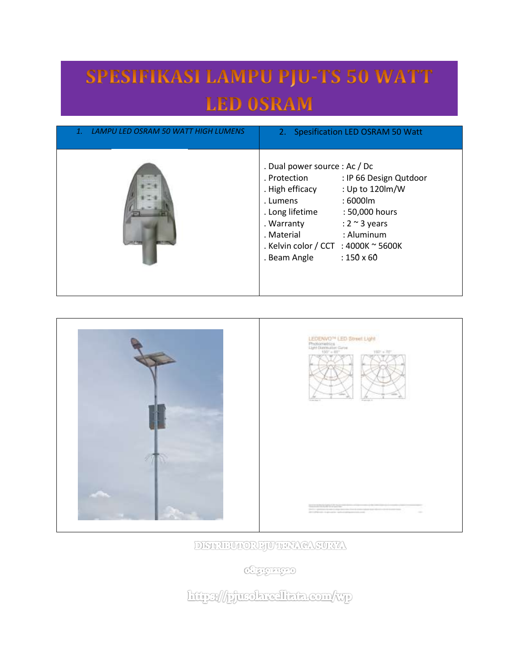## SPESIFIKASI LAMPU PJU-TS 50 WATT **LED OSRAM**

| LAMPU LED OSRAM 50 WATT HIGH LUMENS | 2. Spesification LED OSRAM 50 Watt                                                                                                                                                                                                                                                                                           |
|-------------------------------------|------------------------------------------------------------------------------------------------------------------------------------------------------------------------------------------------------------------------------------------------------------------------------------------------------------------------------|
|                                     | . Dual power source : Ac / Dc<br>. Protection<br>: IP 66 Design Qutdoor<br>: Up to 120lm/W<br>. High efficacy<br>: 6000lm<br>. Lumens<br>. Long lifetime<br>: 50,000 hours<br>. Warranty<br>: $2 \sim 3$ years<br>: Aluminum<br>. Material<br>. Kelvin color / CCT : 4000K $\sim$ 5600K<br>$: 150 \times 60$<br>. Beam Angle |





DISTRIBUTORE JUTHAY CASURYA

**CHEICHTED** 

http://pjurokreallata.com/wp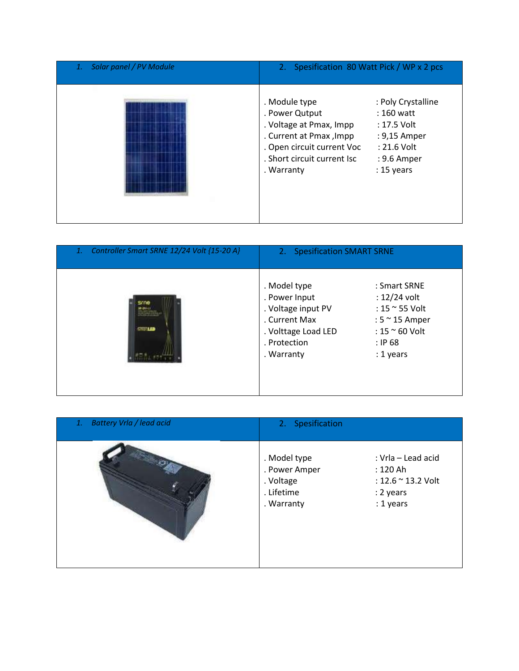| Solar panel / PV Module<br>1. | 2. Spesification 80 Watt Pick / WP x 2 pcs                                                                                                                       |                                                                                                                 |
|-------------------------------|------------------------------------------------------------------------------------------------------------------------------------------------------------------|-----------------------------------------------------------------------------------------------------------------|
|                               | . Module type<br>. Power Qutput<br>. Voltage at Pmax, Impp<br>. Current at Pmax, Impp<br>. Open circuit current Voc<br>. Short circuit current Isc<br>. Warranty | : Poly Crystalline<br>$: 160$ watt<br>: 17.5 Volt<br>: 9,15 Amper<br>: 21.6 Volt<br>: 9.6 Amper<br>$: 15$ years |

| Controller Smart SRNE 12/24 Volt {15-20 A}<br>1. | 2. Spesification SMART SRNE                                                                                               |                                                                                                                                     |
|--------------------------------------------------|---------------------------------------------------------------------------------------------------------------------------|-------------------------------------------------------------------------------------------------------------------------------------|
| <b>STORIED</b>                                   | . Model type<br>. Power Input<br>. Voltage input PV<br>. Current Max<br>. Volttage Load LED<br>. Protection<br>. Warranty | : Smart SRNE<br>$: 12/24$ volt<br>: 15 $\approx$ 55 Volt<br>: $5 \approx 15$ Amper<br>: $15 \approx 60$ Volt<br>: IP68<br>: 1 years |

| <b>Battery Vrla / lead acid</b><br>1. | 2. Spesification                                                                                                                                                 |  |
|---------------------------------------|------------------------------------------------------------------------------------------------------------------------------------------------------------------|--|
|                                       | . Model type<br>: Vrla - Lead acid<br>. Power Amper<br>: 120 Ah<br>. Voltage<br>: $12.6 \approx 13.2$ Volt<br>. Lifetime<br>: 2 years<br>: 1 years<br>. Warranty |  |